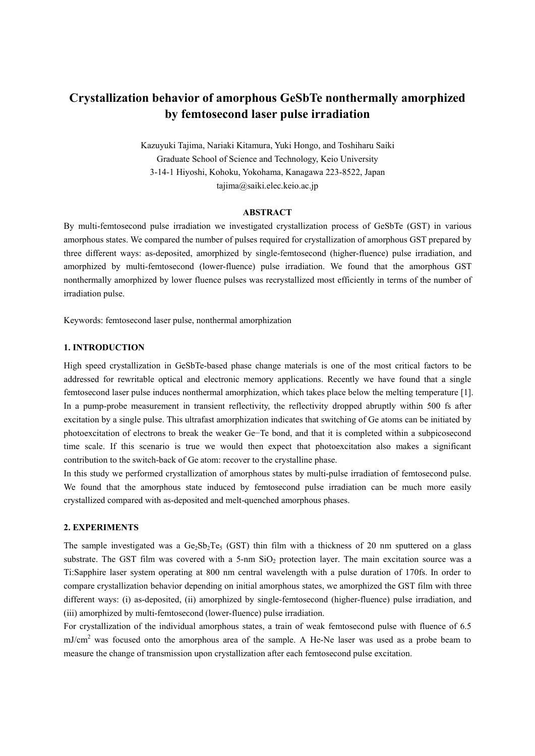# **Crystallization behavior of amorphous GeSbTe nonthermally amorphized by femtosecond laser pulse irradiation**

Kazuyuki Tajima, Nariaki Kitamura, Yuki Hongo, and Toshiharu Saiki Graduate School of Science and Technology, Keio University 3-14-1 Hiyoshi, Kohoku, Yokohama, Kanagawa 223-8522, Japan tajima@saiki.elec.keio.ac.jp

# **ABSTRACT**

By multi-femtosecond pulse irradiation we investigated crystallization process of GeSbTe (GST) in various amorphous states. We compared the number of pulses required for crystallization of amorphous GST prepared by three different ways: as-deposited, amorphized by single-femtosecond (higher-fluence) pulse irradiation, and amorphized by multi-femtosecond (lower-fluence) pulse irradiation. We found that the amorphous GST nonthermally amorphized by lower fluence pulses was recrystallized most efficiently in terms of the number of irradiation pulse.

Keywords: femtosecond laser pulse, nonthermal amorphization

#### **1. INTRODUCTION**

High speed crystallization in GeSbTe-based phase change materials is one of the most critical factors to be addressed for rewritable optical and electronic memory applications. Recently we have found that a single femtosecond laser pulse induces nonthermal amorphization, which takes place below the melting temperature [1]. In a pump-probe measurement in transient reflectivity, the reflectivity dropped abruptly within 500 fs after excitation by a single pulse. This ultrafast amorphization indicates that switching of Ge atoms can be initiated by photoexcitation of electrons to break the weaker Ge-Te bond, and that it is completed within a subpicosecond time scale. If this scenario is true we would then expect that photoexcitation also makes a significant contribution to the switch-back of Ge atom: recover to the crystalline phase.

In this study we performed crystallization of amorphous states by multi-pulse irradiation of femtosecond pulse. We found that the amorphous state induced by femtosecond pulse irradiation can be much more easily crystallized compared with as-deposited and melt-quenched amorphous phases.

## **2. EXPERIMENTS**

The sample investigated was a Ge<sub>2</sub>Sb<sub>2</sub>Te<sub>5</sub> (GST) thin film with a thickness of 20 nm sputtered on a glass substrate. The GST film was covered with a 5-nm SiO<sub>2</sub> protection layer. The main excitation source was a Ti:Sapphire laser system operating at 800 nm central wavelength with a pulse duration of 170fs. In order to compare crystallization behavior depending on initial amorphous states, we amorphized the GST film with three different ways: (i) as-deposited, (ii) amorphized by single-femtosecond (higher-fluence) pulse irradiation, and (iii) amorphized by multi-femtosecond (lower-fluence) pulse irradiation.

For crystallization of the individual amorphous states, a train of weak femtosecond pulse with fluence of 6.5 mJ/cm<sup>2</sup> was focused onto the amorphous area of the sample. A He-Ne laser was used as a probe beam to measure the change of transmission upon crystallization after each femtosecond pulse excitation.